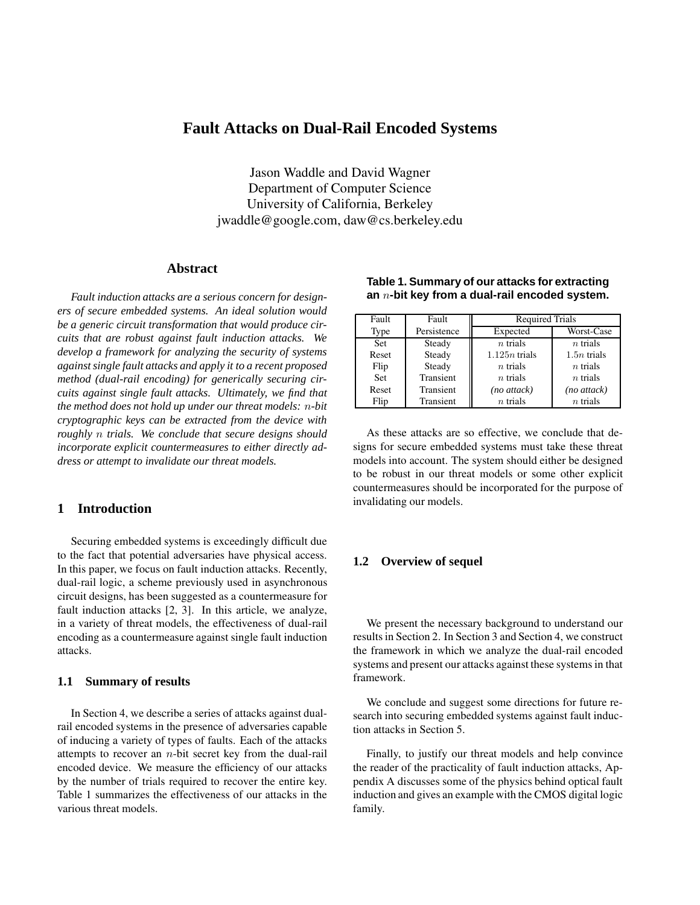# **Fault Attacks on Dual-Rail Encoded Systems**

Jason Waddle and David Wagner Department of Computer Science University of California, Berkeley jwaddle@google.com, daw@cs.berkeley.edu

### **Abstract**

*Fault induction attacks are a serious concern for designers of secure embedded systems. An ideal solution would be a generic circuit transformation that would produce circuits that are robust against fault induction attacks. We develop a framework for analyzing the security of systems againstsingle fault attacks and apply it to a recent proposed method (dual-rail encoding) for generically securing circuits against single fault attacks. Ultimately, we find that the method does not hold up under our threat models:* n*-bit cryptographic keys can be extracted from the device with roughly* n *trials. We conclude that secure designs should incorporate explicit countermeasures to either directly address or attempt to invalidate our threat models.*

## **1 Introduction**

Securing embedded systems is exceedingly difficult due to the fact that potential adversaries have physical access. In this paper, we focus on fault induction attacks. Recently, dual-rail logic, a scheme previously used in asynchronous circuit designs, has been suggested as a countermeasure for fault induction attacks [2, 3]. In this article, we analyze, in a variety of threat models, the effectiveness of dual-rail encoding as a countermeasure against single fault induction attacks.

## **1.1 Summary of results**

In Section 4, we describe a series of attacks against dualrail encoded systems in the presence of adversaries capable of inducing a variety of types of faults. Each of the attacks attempts to recover an  $n$ -bit secret key from the dual-rail encoded device. We measure the efficiency of our attacks by the number of trials required to recover the entire key. Table 1 summarizes the effectiveness of our attacks in the various threat models.

| Fault      | Fault       | <b>Required Trials</b> |               |  |
|------------|-------------|------------------------|---------------|--|
| Type       | Persistence | Expected               | Worst-Case    |  |
| <b>Set</b> | Steady      | $n$ trials             | $n$ trials    |  |
| Reset      | Steady      | $1.125n$ trials        | $1.5n$ trials |  |
| Flip       | Steady      | $n$ trials             | $n$ trials    |  |
| <b>Set</b> | Transient   | $n$ trials             | $n$ trials    |  |
| Reset      | Transient   | (no attack)            | (no attack)   |  |
| Flip       | Transient   | $n$ trials             | $n$ trials    |  |

**Table 1. Summary of our attacks for extracting an** n**-bit key from a dual-rail encoded system.**

As these attacks are so effective, we conclude that designs for secure embedded systems must take these threat models into account. The system should either be designed to be robust in our threat models or some other explicit countermeasures should be incorporated for the purpose of invalidating our models.

## **1.2 Overview of sequel**

We present the necessary background to understand our results in Section 2. In Section 3 and Section 4, we construct the framework in which we analyze the dual-rail encoded systems and present our attacks against these systems in that framework.

We conclude and suggest some directions for future research into securing embedded systems against fault induction attacks in Section 5.

Finally, to justify our threat models and help convince the reader of the practicality of fault induction attacks, Appendix A discusses some of the physics behind optical fault induction and gives an example with the CMOS digital logic family.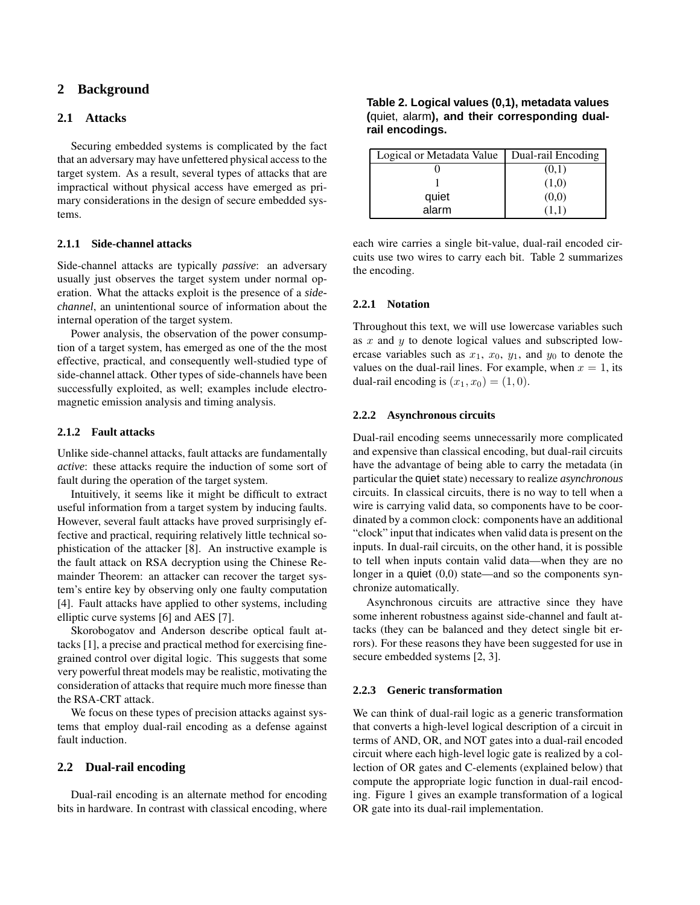## **2 Background**

## **2.1 Attacks**

Securing embedded systems is complicated by the fact that an adversary may have unfettered physical access to the target system. As a result, several types of attacks that are impractical without physical access have emerged as primary considerations in the design of secure embedded systems.

### **2.1.1 Side-channel attacks**

Side-channel attacks are typically *passive*: an adversary usually just observes the target system under normal operation. What the attacks exploit is the presence of a *sidechannel*, an unintentional source of information about the internal operation of the target system.

Power analysis, the observation of the power consumption of a target system, has emerged as one of the the most effective, practical, and consequently well-studied type of side-channel attack. Other types of side-channels have been successfully exploited, as well; examples include electromagnetic emission analysis and timing analysis.

### **2.1.2 Fault attacks**

Unlike side-channel attacks, fault attacks are fundamentally *active*: these attacks require the induction of some sort of fault during the operation of the target system.

Intuitively, it seems like it might be difficult to extract useful information from a target system by inducing faults. However, several fault attacks have proved surprisingly effective and practical, requiring relatively little technical sophistication of the attacker [8]. An instructive example is the fault attack on RSA decryption using the Chinese Remainder Theorem: an attacker can recover the target system's entire key by observing only one faulty computation [4]. Fault attacks have applied to other systems, including elliptic curve systems [6] and AES [7].

Skorobogatov and Anderson describe optical fault attacks [1], a precise and practical method for exercising finegrained control over digital logic. This suggests that some very powerful threat models may be realistic, motivating the consideration of attacks that require much more finesse than the RSA-CRT attack.

We focus on these types of precision attacks against systems that employ dual-rail encoding as a defense against fault induction.

## **2.2 Dual-rail encoding**

Dual-rail encoding is an alternate method for encoding bits in hardware. In contrast with classical encoding, where

## **Table 2. Logical values (0,1), metadata values (**quiet, alarm**), and their corresponding dualrail encodings.**

| Logical or Metadata Value | Dual-rail Encoding |  |
|---------------------------|--------------------|--|
|                           | (0,1)              |  |
|                           | (1,0)              |  |
| quiet                     | (0,0)              |  |
| alarm                     | (1.1)              |  |

each wire carries a single bit-value, dual-rail encoded circuits use two wires to carry each bit. Table 2 summarizes the encoding.

#### **2.2.1 Notation**

Throughout this text, we will use lowercase variables such as  $x$  and  $y$  to denote logical values and subscripted lowercase variables such as  $x_1$ ,  $x_0$ ,  $y_1$ , and  $y_0$  to denote the values on the dual-rail lines. For example, when  $x = 1$ , its dual-rail encoding is  $(x_1, x_0) = (1, 0)$ .

#### **2.2.2 Asynchronous circuits**

Dual-rail encoding seems unnecessarily more complicated and expensive than classical encoding, but dual-rail circuits have the advantage of being able to carry the metadata (in particular the quiet state) necessary to realize *asynchronous* circuits. In classical circuits, there is no way to tell when a wire is carrying valid data, so components have to be coordinated by a common clock: components have an additional "clock" input that indicates when valid data is present on the inputs. In dual-rail circuits, on the other hand, it is possible to tell when inputs contain valid data—when they are no longer in a quiet  $(0,0)$  state—and so the components synchronize automatically.

Asynchronous circuits are attractive since they have some inherent robustness against side-channel and fault attacks (they can be balanced and they detect single bit errors). For these reasons they have been suggested for use in secure embedded systems [2, 3].

#### **2.2.3 Generic transformation**

We can think of dual-rail logic as a generic transformation that converts a high-level logical description of a circuit in terms of AND, OR, and NOT gates into a dual-rail encoded circuit where each high-level logic gate is realized by a collection of OR gates and C-elements (explained below) that compute the appropriate logic function in dual-rail encoding. Figure 1 gives an example transformation of a logical OR gate into its dual-rail implementation.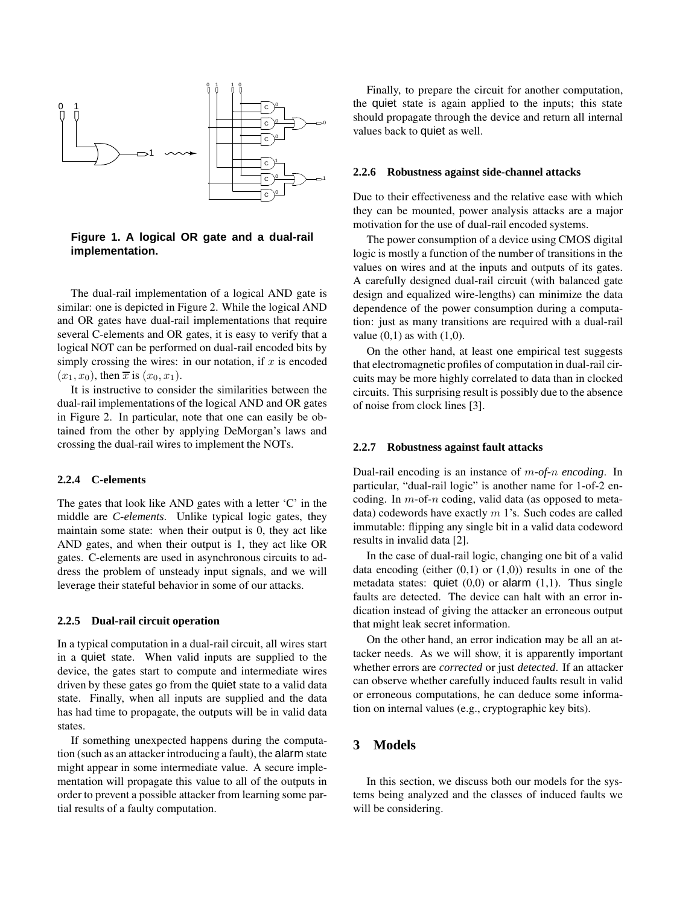

**Figure 1. A logical OR gate and a dual-rail implementation.**

The dual-rail implementation of a logical AND gate is similar: one is depicted in Figure 2. While the logical AND and OR gates have dual-rail implementations that require several C-elements and OR gates, it is easy to verify that a logical NOT can be performed on dual-rail encoded bits by simply crossing the wires: in our notation, if  $x$  is encoded  $(x_1, x_0)$ , then  $\overline{x}$  is  $(x_0, x_1)$ .

It is instructive to consider the similarities between the dual-rail implementations of the logical AND and OR gates in Figure 2. In particular, note that one can easily be obtained from the other by applying DeMorgan's laws and crossing the dual-rail wires to implement the NOTs.

#### **2.2.4 C-elements**

The gates that look like AND gates with a letter 'C' in the middle are *C-elements*. Unlike typical logic gates, they maintain some state: when their output is 0, they act like AND gates, and when their output is 1, they act like OR gates. C-elements are used in asynchronous circuits to address the problem of unsteady input signals, and we will leverage their stateful behavior in some of our attacks.

#### **2.2.5 Dual-rail circuit operation**

In a typical computation in a dual-rail circuit, all wires start in a quiet state. When valid inputs are supplied to the device, the gates start to compute and intermediate wires driven by these gates go from the quiet state to a valid data state. Finally, when all inputs are supplied and the data has had time to propagate, the outputs will be in valid data states.

If something unexpected happens during the computation (such as an attacker introducing a fault), the alarm state might appear in some intermediate value. A secure implementation will propagate this value to all of the outputs in order to prevent a possible attacker from learning some partial results of a faulty computation.

Finally, to prepare the circuit for another computation, the quiet state is again applied to the inputs; this state should propagate through the device and return all internal values back to quiet as well.

#### **2.2.6 Robustness against side-channel attacks**

Due to their effectiveness and the relative ease with which they can be mounted, power analysis attacks are a major motivation for the use of dual-rail encoded systems.

The power consumption of a device using CMOS digital logic is mostly a function of the number of transitions in the values on wires and at the inputs and outputs of its gates. A carefully designed dual-rail circuit (with balanced gate design and equalized wire-lengths) can minimize the data dependence of the power consumption during a computation: just as many transitions are required with a dual-rail value  $(0,1)$  as with  $(1,0)$ .

On the other hand, at least one empirical test suggests that electromagnetic profiles of computation in dual-rail circuits may be more highly correlated to data than in clocked circuits. This surprising result is possibly due to the absence of noise from clock lines [3].

### **2.2.7 Robustness against fault attacks**

Dual-rail encoding is an instance of m*-of-*n *encoding*. In particular, "dual-rail logic" is another name for 1-of-2 encoding. In  $m$ -of-n coding, valid data (as opposed to metadata) codewords have exactly  $m<sub>1</sub>$ 's. Such codes are called immutable: flipping any single bit in a valid data codeword results in invalid data [2].

In the case of dual-rail logic, changing one bit of a valid data encoding (either  $(0,1)$  or  $(1,0)$ ) results in one of the metadata states: quiet  $(0,0)$  or alarm  $(1,1)$ . Thus single faults are detected. The device can halt with an error indication instead of giving the attacker an erroneous output that might leak secret information.

On the other hand, an error indication may be all an attacker needs. As we will show, it is apparently important whether errors are *corrected* or just *detected*. If an attacker can observe whether carefully induced faults result in valid or erroneous computations, he can deduce some information on internal values (e.g., cryptographic key bits).

## **3 Models**

In this section, we discuss both our models for the systems being analyzed and the classes of induced faults we will be considering.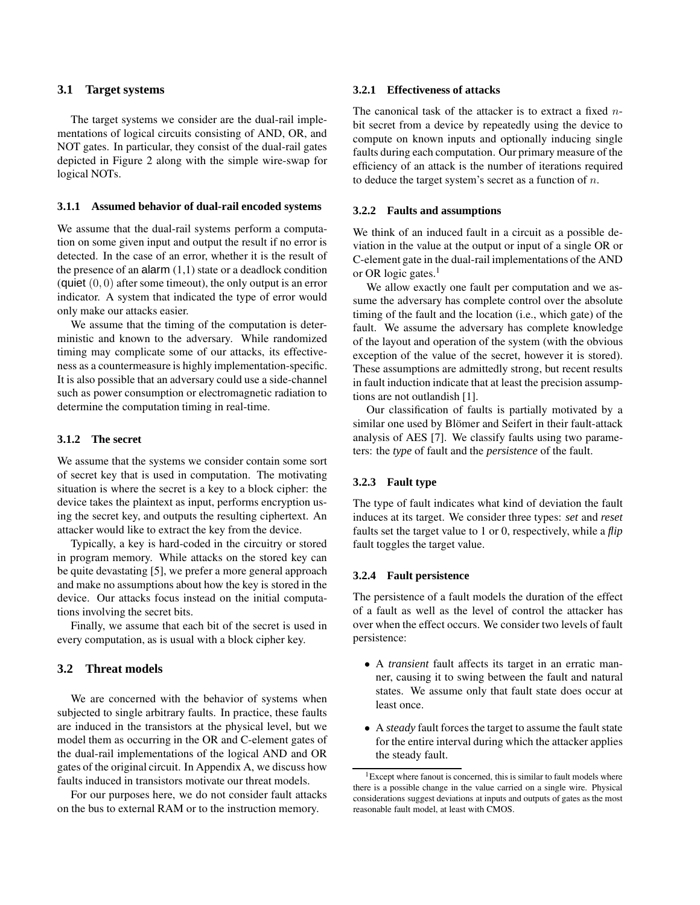## **3.1 Target systems**

The target systems we consider are the dual-rail implementations of logical circuits consisting of AND, OR, and NOT gates. In particular, they consist of the dual-rail gates depicted in Figure 2 along with the simple wire-swap for logical NOTs.

### **3.1.1 Assumed behavior of dual-rail encoded systems**

We assume that the dual-rail systems perform a computation on some given input and output the result if no error is detected. In the case of an error, whether it is the result of the presence of an alarm  $(1,1)$  state or a deadlock condition (quiet  $(0, 0)$  after some timeout), the only output is an error indicator. A system that indicated the type of error would only make our attacks easier.

We assume that the timing of the computation is deterministic and known to the adversary. While randomized timing may complicate some of our attacks, its effectiveness as a countermeasure is highly implementation-specific. It is also possible that an adversary could use a side-channel such as power consumption or electromagnetic radiation to determine the computation timing in real-time.

### **3.1.2 The secret**

We assume that the systems we consider contain some sort of secret key that is used in computation. The motivating situation is where the secret is a key to a block cipher: the device takes the plaintext as input, performs encryption using the secret key, and outputs the resulting ciphertext. An attacker would like to extract the key from the device.

Typically, a key is hard-coded in the circuitry or stored in program memory. While attacks on the stored key can be quite devastating [5], we prefer a more general approach and make no assumptions about how the key is stored in the device. Our attacks focus instead on the initial computations involving the secret bits.

Finally, we assume that each bit of the secret is used in every computation, as is usual with a block cipher key.

### **3.2 Threat models**

We are concerned with the behavior of systems when subjected to single arbitrary faults. In practice, these faults are induced in the transistors at the physical level, but we model them as occurring in the OR and C-element gates of the dual-rail implementations of the logical AND and OR gates of the original circuit. In Appendix A, we discuss how faults induced in transistors motivate our threat models.

For our purposes here, we do not consider fault attacks on the bus to external RAM or to the instruction memory.

### **3.2.1 Effectiveness of attacks**

The canonical task of the attacker is to extract a fixed  $n$ bit secret from a device by repeatedly using the device to compute on known inputs and optionally inducing single faults during each computation. Our primary measure of the efficiency of an attack is the number of iterations required to deduce the target system's secret as a function of  $n$ .

#### **3.2.2 Faults and assumptions**

We think of an induced fault in a circuit as a possible deviation in the value at the output or input of a single OR or C-element gate in the dual-rail implementations of the AND or OR logic gates. $<sup>1</sup>$ </sup>

We allow exactly one fault per computation and we assume the adversary has complete control over the absolute timing of the fault and the location (i.e., which gate) of the fault. We assume the adversary has complete knowledge of the layout and operation of the system (with the obvious exception of the value of the secret, however it is stored). These assumptions are admittedly strong, but recent results in fault induction indicate that at least the precision assumptions are not outlandish [1].

Our classification of faults is partially motivated by a similar one used by Blömer and Seifert in their fault-attack analysis of AES [7]. We classify faults using two parameters: the *type* of fault and the *persistence* of the fault.

### **3.2.3 Fault type**

The type of fault indicates what kind of deviation the fault induces at its target. We consider three types: *set* and *reset* faults set the target value to 1 or 0, respectively, while a *flip* fault toggles the target value.

#### **3.2.4 Fault persistence**

The persistence of a fault models the duration of the effect of a fault as well as the level of control the attacker has over when the effect occurs. We consider two levels of fault persistence:

- A *transient* fault affects its target in an erratic manner, causing it to swing between the fault and natural states. We assume only that fault state does occur at least once.
- A *steady* fault forces the target to assume the fault state for the entire interval during which the attacker applies the steady fault.

<sup>&</sup>lt;sup>1</sup>Except where fanout is concerned, this is similar to fault models where there is a possible change in the value carried on a single wire. Physical considerations suggest deviations at inputs and outputs of gates as the most reasonable fault model, at least with CMOS.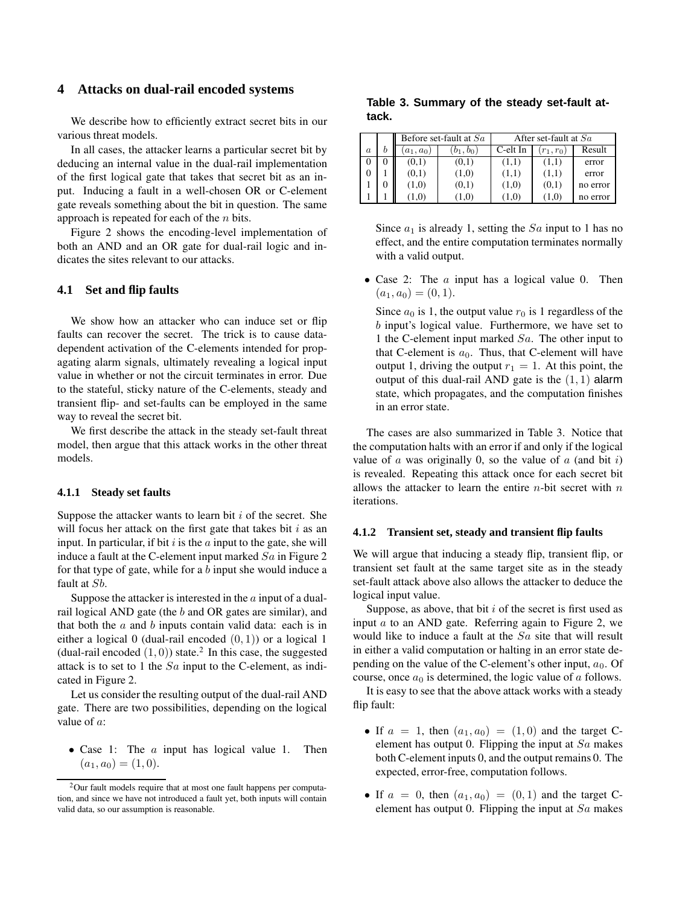## **4 Attacks on dual-rail encoded systems**

We describe how to efficiently extract secret bits in our various threat models.

In all cases, the attacker learns a particular secret bit by deducing an internal value in the dual-rail implementation of the first logical gate that takes that secret bit as an input. Inducing a fault in a well-chosen OR or C-element gate reveals something about the bit in question. The same approach is repeated for each of the  $n$  bits.

Figure 2 shows the encoding-level implementation of both an AND and an OR gate for dual-rail logic and indicates the sites relevant to our attacks.

## **4.1 Set and flip faults**

We show how an attacker who can induce set or flip faults can recover the secret. The trick is to cause datadependent activation of the C-elements intended for propagating alarm signals, ultimately revealing a logical input value in whether or not the circuit terminates in error. Due to the stateful, sticky nature of the C-elements, steady and transient flip- and set-faults can be employed in the same way to reveal the secret bit.

We first describe the attack in the steady set-fault threat model, then argue that this attack works in the other threat models.

### **4.1.1 Steady set faults**

Suppose the attacker wants to learn bit  $i$  of the secret. She will focus her attack on the first gate that takes bit  $i$  as an input. In particular, if bit  $i$  is the  $\alpha$  input to the gate, she will induce a fault at the C-element input marked Sa in Figure 2 for that type of gate, while for a  $b$  input she would induce a fault at Sb.

Suppose the attacker is interested in the  $a$  input of a dualrail logical AND gate (the b and OR gates are similar), and that both the  $a$  and  $b$  inputs contain valid data: each is in either a logical 0 (dual-rail encoded  $(0, 1)$ ) or a logical 1 (dual-rail encoded  $(1,0)$ ) state.<sup>2</sup> In this case, the suggested attack is to set to 1 the  $Sa$  input to the C-element, as indicated in Figure 2.

Let us consider the resulting output of the dual-rail AND gate. There are two possibilities, depending on the logical value of a:

• Case 1: The *a* input has logical value 1. Then  $(a_1, a_0) = (1, 0).$ 

## **Table 3. Summary of the steady set-fault attack.**

|                | Before set-fault at Sa |            | After set-fault at Sa |       |          |
|----------------|------------------------|------------|-----------------------|-------|----------|
| $\overline{a}$ | $a_1, a_0$             | $b_1, b_0$ | C-elt In              | $r_0$ | Result   |
|                | (0,1)                  | (0,1)      | (1,1)                 | (1,1) | error    |
|                | (0,1)                  | (1,0)      | (1,1)                 | (1,1) | error    |
|                | (1,0)                  | (0,1)      | (1,0)                 | (0,1) | no error |
|                |                        | 1.0        | 1.0                   | (1.0) | no error |

Since  $a_1$  is already 1, setting the  $Sa$  input to 1 has no effect, and the entire computation terminates normally with a valid output.

• Case 2: The *a* input has a logical value 0. Then  $(a_1, a_0) = (0, 1).$ 

Since  $a_0$  is 1, the output value  $r_0$  is 1 regardless of the b input's logical value. Furthermore, we have set to 1 the C-element input marked Sa. The other input to that C-element is  $a_0$ . Thus, that C-element will have output 1, driving the output  $r_1 = 1$ . At this point, the output of this dual-rail AND gate is the  $(1, 1)$  alarm state, which propagates, and the computation finishes in an error state.

The cases are also summarized in Table 3. Notice that the computation halts with an error if and only if the logical value of a was originally 0, so the value of  $\alpha$  (and bit i) is revealed. Repeating this attack once for each secret bit allows the attacker to learn the entire *n*-bit secret with *n* iterations.

### **4.1.2 Transient set, steady and transient flip faults**

We will argue that inducing a steady flip, transient flip, or transient set fault at the same target site as in the steady set-fault attack above also allows the attacker to deduce the logical input value.

Suppose, as above, that bit  $i$  of the secret is first used as input  $a$  to an AND gate. Referring again to Figure 2, we would like to induce a fault at the  $Sa$  site that will result in either a valid computation or halting in an error state depending on the value of the C-element's other input,  $a_0$ . Of course, once  $a_0$  is determined, the logic value of a follows.

It is easy to see that the above attack works with a steady flip fault:

- If  $a = 1$ , then  $(a_1, a_0) = (1, 0)$  and the target Celement has output 0. Flipping the input at  $Sa$  makes both C-element inputs 0, and the output remains 0. The expected, error-free, computation follows.
- If  $a = 0$ , then  $(a_1, a_0) = (0, 1)$  and the target Celement has output 0. Flipping the input at  $Sa$  makes

<sup>2</sup>Our fault models require that at most one fault happens per computation, and since we have not introduced a fault yet, both inputs will contain valid data, so our assumption is reasonable.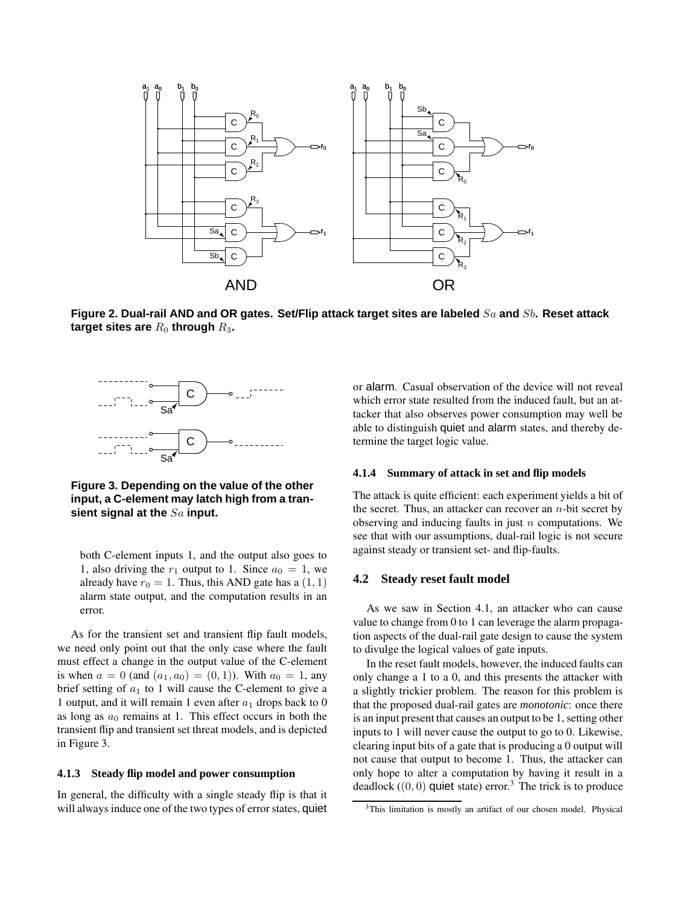

**Figure 2. Dual-rail AND and OR gates. Set/Flip attack target sites are labeled** Sa **and** Sb**. Reset attack target sites are**  $R_0$  **through**  $R_3$ .



**Figure 3. Depending on the value of the other input, a C-element may latch high from a transient signal at the** Sa **input.**

both C-element inputs 1, and the output also goes to 1, also driving the  $r_1$  output to 1. Since  $a_0 = 1$ , we already have  $r_0 = 1$ . Thus, this AND gate has a  $(1, 1)$ alarm state output, and the computation results in an error.

As for the transient set and transient flip fault models, we need only point out that the only case where the fault must effect a change in the output value of the C-element is when  $a = 0$  (and  $(a_1, a_0) = (0, 1)$ ). With  $a_0 = 1$ , any brief setting of  $a_1$  to 1 will cause the C-element to give a 1 output, and it will remain 1 even after  $a_1$  drops back to 0 as long as  $a_0$  remains at 1. This effect occurs in both the transient flip and transient set threat models, and is depicted in Figure 3.

### **4.1.3 Steady flip model and power consumption**

In general, the difficulty with a single steady flip is that it will always induce one of the two types of error states, quiet or alarm. Casual observation of the device will not reveal which error state resulted from the induced fault, but an attacker that also observes power consumption may well be able to distinguish quiet and alarm states, and thereby determine the target logic value.

### **4.1.4 Summary of attack in set and flip models**

The attack is quite efficient: each experiment yields a bit of the secret. Thus, an attacker can recover an  $n$ -bit secret by observing and inducing faults in just  $n$  computations. We see that with our assumptions, dual-rail logic is not secure against steady or transient set- and flip-faults.

### **4.2 Steady reset fault model**

As we saw in Section 4.1, an attacker who can cause value to change from 0 to 1 can leverage the alarm propagation aspects of the dual-rail gate design to cause the system to divulge the logical values of gate inputs.

In the reset fault models, however, the induced faults can only change a 1 to a 0, and this presents the attacker with a slightly trickier problem. The reason for this problem is that the proposed dual-rail gates are *monotonic*: once there is an input present that causes an output to be 1, setting other inputs to 1 will never cause the output to go to 0. Likewise, clearing input bits of a gate that is producing a 0 output will not cause that output to become 1. Thus, the attacker can only hope to alter a computation by having it result in a deadlock  $((0, 0)$  quiet state) error.<sup>3</sup> The trick is to produce

<sup>&</sup>lt;sup>3</sup>This limitation is mostly an artifact of our chosen model. Physical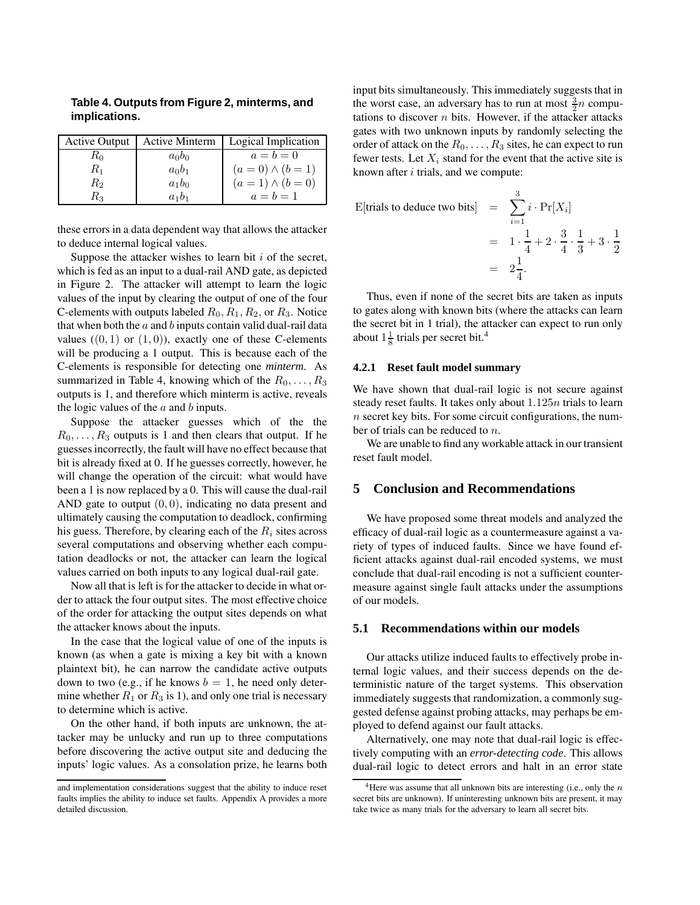| <b>Active Output</b> | <b>Active Minterm</b> | Logical Implication      |
|----------------------|-----------------------|--------------------------|
| $R_{0}$              | $a_0b_0$              | $a=b=0$                  |
| $R_1$                | $a_0b_1$              | $(a = 0) \wedge (b = 1)$ |
| R2                   | $a_1b_0$              | $(a = 1) \wedge (b = 0)$ |
| $R_{3}$              | $a_1b_1$              | $a=b=1$                  |

**Table 4. Outputs from Figure 2, minterms, and implications.**

these errors in a data dependent way that allows the attacker to deduce internal logical values.

Suppose the attacker wishes to learn bit  $i$  of the secret, which is fed as an input to a dual-rail AND gate, as depicted in Figure 2. The attacker will attempt to learn the logic values of the input by clearing the output of one of the four C-elements with outputs labeled  $R_0, R_1, R_2$ , or  $R_3$ . Notice that when both the  $a$  and  $b$  inputs contain valid dual-rail data values  $((0, 1)$  or  $(1, 0)$ ), exactly one of these C-elements will be producing a 1 output. This is because each of the C-elements is responsible for detecting one *minterm*. As summarized in Table 4, knowing which of the  $R_0, \ldots, R_3$ outputs is 1, and therefore which minterm is active, reveals the logic values of the  $a$  and  $b$  inputs.

Suppose the attacker guesses which of the the  $R_0, \ldots, R_3$  outputs is 1 and then clears that output. If he guessesincorrectly, the fault will have no effect because that bit is already fixed at 0. If he guesses correctly, however, he will change the operation of the circuit: what would have been a 1 is now replaced by a 0. This will cause the dual-rail AND gate to output  $(0, 0)$ , indicating no data present and ultimately causing the computation to deadlock, confirming his guess. Therefore, by clearing each of the  $R_i$  sites across several computations and observing whether each computation deadlocks or not, the attacker can learn the logical values carried on both inputs to any logical dual-rail gate.

Now all that is left is for the attacker to decide in what order to attack the four output sites. The most effective choice of the order for attacking the output sites depends on what the attacker knows about the inputs.

In the case that the logical value of one of the inputs is known (as when a gate is mixing a key bit with a known plaintext bit), he can narrow the candidate active outputs down to two (e.g., if he knows  $b = 1$ , he need only determine whether  $R_1$  or  $R_3$  is 1), and only one trial is necessary to determine which is active.

On the other hand, if both inputs are unknown, the attacker may be unlucky and run up to three computations before discovering the active output site and deducing the inputs' logic values. As a consolation prize, he learns both

input bits simultaneously. This immediately suggests that in the worst case, an adversary has to run at most  $\frac{3}{2}n$  computations to discover  $n$  bits. However, if the attacker attacks gates with two unknown inputs by randomly selecting the order of attack on the  $R_0, \ldots, R_3$  sites, he can expect to run fewer tests. Let  $X_i$  stand for the event that the active site is known after  $i$  trials, and we compute:

E[trials to deduce two bits] = 
$$
\sum_{i=1}^{3} i \cdot \Pr[X_i]
$$
  
=  $1 \cdot \frac{1}{4} + 2 \cdot \frac{3}{4} \cdot \frac{1}{3} + 3 \cdot \frac{1}{2}$   
=  $2\frac{1}{4}$ .

Thus, even if none of the secret bits are taken as inputs to gates along with known bits (where the attacks can learn the secret bit in 1 trial), the attacker can expect to run only about  $1\frac{1}{8}$  trials per secret bit.<sup>4</sup>

#### **4.2.1 Reset fault model summary**

We have shown that dual-rail logic is not secure against steady reset faults. It takes only about  $1.125n$  trials to learn  $n$  secret key bits. For some circuit configurations, the number of trials can be reduced to n.

We are unable to find any workable attack in our transient reset fault model.

## **5 Conclusion and Recommendations**

We have proposed some threat models and analyzed the efficacy of dual-rail logic as a countermeasure against a variety of types of induced faults. Since we have found efficient attacks against dual-rail encoded systems, we must conclude that dual-rail encoding is not a sufficient countermeasure against single fault attacks under the assumptions of our models.

## **5.1 Recommendations within our models**

Our attacks utilize induced faults to effectively probe internal logic values, and their success depends on the deterministic nature of the target systems. This observation immediately suggests that randomization, a commonly suggested defense against probing attacks, may perhaps be employed to defend against our fault attacks.

Alternatively, one may note that dual-rail logic is effectively computing with an *error-detecting code*. This allows dual-rail logic to detect errors and halt in an error state

and implementation considerations suggest that the ability to induce reset faults implies the ability to induce set faults. Appendix A provides a more detailed discussion.

<sup>&</sup>lt;sup>4</sup>Here was assume that all unknown bits are interesting (i.e., only the  $n$ secret bits are unknown). If uninteresting unknown bits are present, it may take twice as many trials for the adversary to learn all secret bits.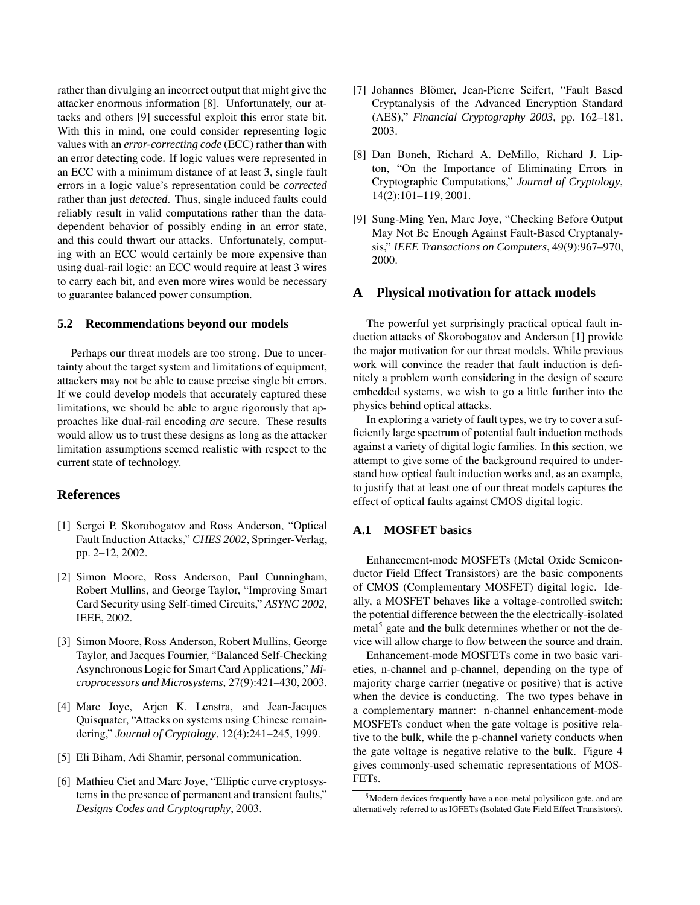rather than divulging an incorrect output that might give the attacker enormous information [8]. Unfortunately, our attacks and others [9] successful exploit this error state bit. With this in mind, one could consider representing logic values with an *error-correcting code* (ECC) rather than with an error detecting code. If logic values were represented in an ECC with a minimum distance of at least 3, single fault errors in a logic value's representation could be *corrected* rather than just *detected*. Thus, single induced faults could reliably result in valid computations rather than the datadependent behavior of possibly ending in an error state, and this could thwart our attacks. Unfortunately, computing with an ECC would certainly be more expensive than using dual-rail logic: an ECC would require at least 3 wires to carry each bit, and even more wires would be necessary to guarantee balanced power consumption.

## **5.2 Recommendations beyond our models**

Perhaps our threat models are too strong. Due to uncertainty about the target system and limitations of equipment, attackers may not be able to cause precise single bit errors. If we could develop models that accurately captured these limitations, we should be able to argue rigorously that approaches like dual-rail encoding *are* secure. These results would allow us to trust these designs as long as the attacker limitation assumptions seemed realistic with respect to the current state of technology.

## **References**

- [1] Sergei P. Skorobogatov and Ross Anderson, "Optical Fault Induction Attacks," *CHES 2002*, Springer-Verlag, pp. 2–12, 2002.
- [2] Simon Moore, Ross Anderson, Paul Cunningham, Robert Mullins, and George Taylor, "Improving Smart Card Security using Self-timed Circuits," *ASYNC 2002*, IEEE, 2002.
- [3] Simon Moore, Ross Anderson, Robert Mullins, George Taylor, and Jacques Fournier, "Balanced Self-Checking Asynchronous Logic for Smart Card Applications," *Microprocessors and Microsystems*, 27(9):421–430, 2003.
- [4] Marc Joye, Arjen K. Lenstra, and Jean-Jacques Quisquater, "Attacks on systems using Chinese remaindering," *Journal of Cryptology*, 12(4):241–245, 1999.
- [5] Eli Biham, Adi Shamir, personal communication.
- [6] Mathieu Ciet and Marc Joye, "Elliptic curve cryptosystems in the presence of permanent and transient faults," *Designs Codes and Cryptography*, 2003.
- [7] Johannes Blömer, Jean-Pierre Seifert, "Fault Based" Cryptanalysis of the Advanced Encryption Standard (AES)," *Financial Cryptography 2003*, pp. 162–181, 2003.
- [8] Dan Boneh, Richard A. DeMillo, Richard J. Lipton, "On the Importance of Eliminating Errors in Cryptographic Computations," *Journal of Cryptology*, 14(2):101–119, 2001.
- [9] Sung-Ming Yen, Marc Joye, "Checking Before Output May Not Be Enough Against Fault-Based Cryptanalysis," *IEEE Transactions on Computers*, 49(9):967–970, 2000.

## **A Physical motivation for attack models**

The powerful yet surprisingly practical optical fault induction attacks of Skorobogatov and Anderson [1] provide the major motivation for our threat models. While previous work will convince the reader that fault induction is definitely a problem worth considering in the design of secure embedded systems, we wish to go a little further into the physics behind optical attacks.

In exploring a variety of fault types, we try to cover a sufficiently large spectrum of potential fault induction methods against a variety of digital logic families. In this section, we attempt to give some of the background required to understand how optical fault induction works and, as an example, to justify that at least one of our threat models captures the effect of optical faults against CMOS digital logic.

## **A.1 MOSFET basics**

Enhancement-mode MOSFETs (Metal Oxide Semiconductor Field Effect Transistors) are the basic components of CMOS (Complementary MOSFET) digital logic. Ideally, a MOSFET behaves like a voltage-controlled switch: the potential difference between the the electrically-isolated metal<sup>5</sup> gate and the bulk determines whether or not the device will allow charge to flow between the source and drain.

Enhancement-mode MOSFETs come in two basic varieties, n-channel and p-channel, depending on the type of majority charge carrier (negative or positive) that is active when the device is conducting. The two types behave in a complementary manner: n-channel enhancement-mode MOSFETs conduct when the gate voltage is positive relative to the bulk, while the p-channel variety conducts when the gate voltage is negative relative to the bulk. Figure 4 gives commonly-used schematic representations of MOS-FETs.

<sup>5</sup>Modern devices frequently have a non-metal polysilicon gate, and are alternatively referred to as IGFETs (Isolated Gate Field Effect Transistors).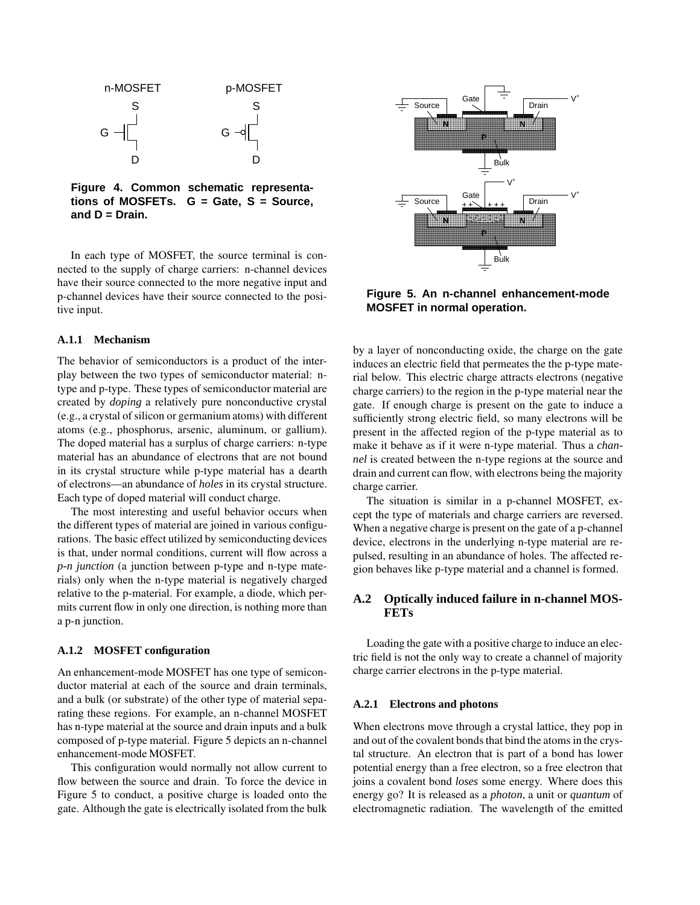

**Figure 4. Common schematic representations of MOSFETs. G = Gate, S = Source, and D = Drain.**

In each type of MOSFET, the source terminal is connected to the supply of charge carriers: n-channel devices have their source connected to the more negative input and p-channel devices have their source connected to the positive input.

### **A.1.1 Mechanism**

The behavior of semiconductors is a product of the interplay between the two types of semiconductor material: ntype and p-type. These types of semiconductor material are created by *doping* a relatively pure nonconductive crystal (e.g., a crystal of silicon or germanium atoms) with different atoms (e.g., phosphorus, arsenic, aluminum, or gallium). The doped material has a surplus of charge carriers: n-type material has an abundance of electrons that are not bound in its crystal structure while p-type material has a dearth of electrons—an abundance of *holes* in its crystal structure. Each type of doped material will conduct charge.

The most interesting and useful behavior occurs when the different types of material are joined in various configurations. The basic effect utilized by semiconducting devices is that, under normal conditions, current will flow across a *p-n junction* (a junction between p-type and n-type materials) only when the n-type material is negatively charged relative to the p-material. For example, a diode, which permits current flow in only one direction, is nothing more than a p-n junction.

### **A.1.2 MOSFET configuration**

An enhancement-mode MOSFET has one type of semiconductor material at each of the source and drain terminals, and a bulk (or substrate) of the other type of material separating these regions. For example, an n-channel MOSFET has n-type material at the source and drain inputs and a bulk composed of p-type material. Figure 5 depicts an n-channel enhancement-mode MOSFET.

This configuration would normally not allow current to flow between the source and drain. To force the device in Figure 5 to conduct, a positive charge is loaded onto the gate. Although the gate is electrically isolated from the bulk



**Figure 5. An n-channel enhancement-mode MOSFET in normal operation.**

by a layer of nonconducting oxide, the charge on the gate induces an electric field that permeates the the p-type material below. This electric charge attracts electrons (negative charge carriers) to the region in the p-type material near the gate. If enough charge is present on the gate to induce a sufficiently strong electric field, so many electrons will be present in the affected region of the p-type material as to make it behave as if it were n-type material. Thus a *channel* is created between the n-type regions at the source and drain and current can flow, with electrons being the majority charge carrier.

The situation is similar in a p-channel MOSFET, except the type of materials and charge carriers are reversed. When a negative charge is present on the gate of a p-channel device, electrons in the underlying n-type material are repulsed, resulting in an abundance of holes. The affected region behaves like p-type material and a channel is formed.

## **A.2 Optically induced failure in n-channel MOS-FETs**

Loading the gate with a positive charge to induce an electric field is not the only way to create a channel of majority charge carrier electrons in the p-type material.

### **A.2.1 Electrons and photons**

When electrons move through a crystal lattice, they pop in and out of the covalent bonds that bind the atoms in the crystal structure. An electron that is part of a bond has lower potential energy than a free electron, so a free electron that joins a covalent bond *loses* some energy. Where does this energy go? It is released as a *photon*, a unit or *quantum* of electromagnetic radiation. The wavelength of the emitted